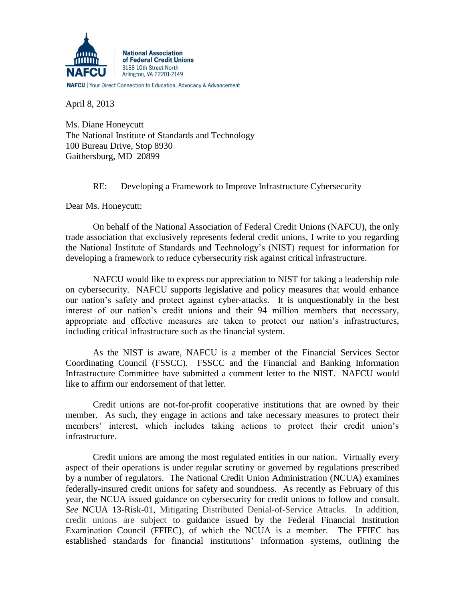

**NAFCU** | Your Direct Connection to Education, Advocacy & Advancement

April 8, 2013

Ms. Diane Honeycutt The National Institute of Standards and Technology 100 Bureau Drive, Stop 8930 Gaithersburg, MD 20899

RE: Developing a Framework to Improve Infrastructure Cybersecurity

Dear Ms. Honeycutt:

On behalf of the National Association of Federal Credit Unions (NAFCU), the only trade association that exclusively represents federal credit unions, I write to you regarding the National Institute of Standards and Technology's (NIST) request for information for developing a framework to reduce cybersecurity risk against critical infrastructure.

NAFCU would like to express our appreciation to NIST for taking a leadership role on cybersecurity. NAFCU supports legislative and policy measures that would enhance our nation's safety and protect against cyber-attacks. It is unquestionably in the best interest of our nation's credit unions and their 94 million members that necessary, appropriate and effective measures are taken to protect our nation's infrastructures, including critical infrastructure such as the financial system.

As the NIST is aware, NAFCU is a member of the Financial Services Sector Coordinating Council (FSSCC). FSSCC and the Financial and Banking Information Infrastructure Committee have submitted a comment letter to the NIST. NAFCU would like to affirm our endorsement of that letter.

Credit unions are not-for-profit cooperative institutions that are owned by their member. As such, they engage in actions and take necessary measures to protect their members' interest, which includes taking actions to protect their credit union's infrastructure.

Credit unions are among the most regulated entities in our nation. Virtually every aspect of their operations is under regular scrutiny or governed by regulations prescribed by a number of regulators. The National Credit Union Administration (NCUA) examines federally-insured credit unions for safety and soundness. As recently as February of this year, the NCUA issued guidance on cybersecurity for credit unions to follow and consult. *See* NCUA 13-Risk-01, Mitigating Distributed Denial-of-Service Attacks. In addition, credit unions are subject to guidance issued by the Federal Financial Institution Examination Council (FFIEC), of which the NCUA is a member. The FFIEC has established standards for financial institutions' information systems, outlining the